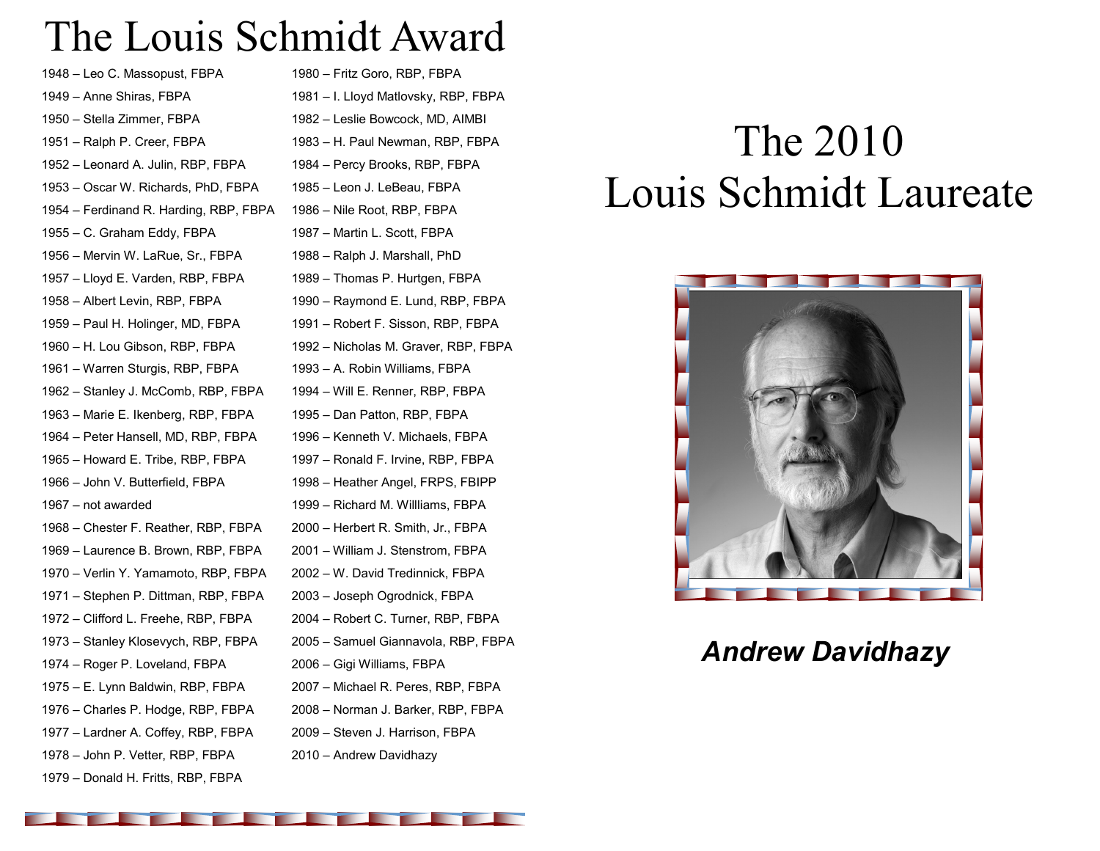## The Louis Schmidt Award

– Leo C. Massopust, FBPA – Anne Shiras, FBPA – Stella Zimmer, FBPA – Ralph P. Creer, FBPA – Leonard A. Julin, RBP, FBPA – Oscar W. Richards, PhD, FBPA – Ferdinand R. Harding, RBP, FBPA – C. Graham Eddy, FBPA – Mervin W. LaRue, Sr., FBPA – Lloyd E. Varden, RBP, FBPA – Albert Levin, RBP, FBPA – Paul H. Holinger, MD, FBPA – H. Lou Gibson, RBP, FBPA – Warren Sturgis, RBP, FBPA – Stanley J. McComb, RBP, FBPA – Marie E. Ikenberg, RBP, FBPA – Peter Hansell, MD, RBP, FBPA – Howard E. Tribe, RBP, FBPA – John V. Butterfield, FBPA – not awarded – Chester F. Reather, RBP, FBPA – Laurence B. Brown, RBP, FBPA – Verlin Y. Yamamoto, RBP, FBPA – Stephen P. Dittman, RBP, FBPA – Clifford L. Freehe, RBP, FBPA – Stanley Klosevych, RBP, FBPA – Roger P. Loveland, FBPA – E. Lynn Baldwin, RBP, FBPA – Charles P. Hodge, RBP, FBPA – Lardner A. Coffey, RBP, FBPA – John P. Vetter, RBP, FBPA – Donald H. Fritts, RBP, FBPA

– Fritz Goro, RBP, FBPA – I. Lloyd Matlovsky, RBP, FBPA – Leslie Bowcock, MD, AIMBI – H. Paul Newman, RBP, FBPA – Percy Brooks, RBP, FBPA – Leon J. LeBeau, FBPA – Nile Root, RBP, FBPA – Martin L. Scott, FBPA – Ralph J. Marshall, PhD – Thomas P. Hurtgen, FBPA – Raymond E. Lund, RBP, FBPA – Robert F. Sisson, RBP, FBPA – Nicholas M. Graver, RBP, FBPA – A. Robin Williams, FBPA – Will E. Renner, RBP, FBPA – Dan Patton, RBP, FBPA – Kenneth V. Michaels, FBPA – Ronald F. Irvine, RBP, FBPA – Heather Angel, FRPS, FBIPP – Richard M. Willliams, FBPA – Herbert R. Smith, Jr., FBPA – William J. Stenstrom, FBPA – W. David Tredinnick, FBPA – Joseph Ogrodnick, FBPA – Robert C. Turner, RBP, FBPA – Samuel Giannavola, RBP, FBPA – Gigi Williams, FBPA – Michael R. Peres, RBP, FBPA – Norman J. Barker, RBP, FBPA – Steven J. Harrison, FBPA – Andrew Davidhazy

# The 2010 Louis Schmidt Laureate



### *Andrew Davidhazy*